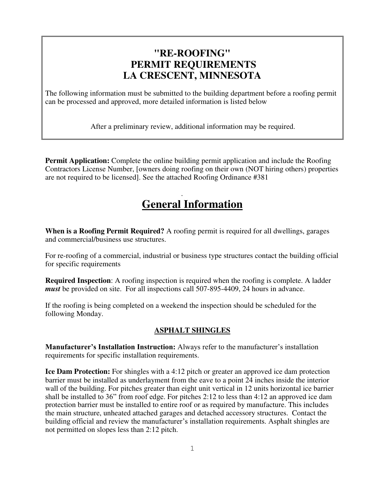## **"RE-ROOFING" PERMIT REQUIREMENTS LA CRESCENT, MINNESOTA**

The following information must be submitted to the building department before a roofing permit can be processed and approved, more detailed information is listed below

After a preliminary review, additional information may be required.

**Permit Application:** Complete the online building permit application and include the Roofing Contractors License Number, [owners doing roofing on their own (NOT hiring others) properties are not required to be licensed]. See the attached Roofing Ordinance #381

## . **General Information**

**When is a Roofing Permit Required?** A roofing permit is required for all dwellings, garages and commercial/business use structures.

For re-roofing of a commercial, industrial or business type structures contact the building official for specific requirements

**Required Inspection**: A roofing inspection is required when the roofing is complete. A ladder *must* be provided on site. For all inspections call 507-895-4409, 24 hours in advance.

If the roofing is being completed on a weekend the inspection should be scheduled for the following Monday.

## **ASPHALT SHINGLES**

**Manufacturer's Installation Instruction:** Always refer to the manufacturer's installation requirements for specific installation requirements.

**Ice Dam Protection:** For shingles with a 4:12 pitch or greater an approved ice dam protection barrier must be installed as underlayment from the eave to a point 24 inches inside the interior wall of the building. For pitches greater than eight unit vertical in 12 units horizontal ice barrier shall be installed to 36" from roof edge. For pitches 2:12 to less than 4:12 an approved ice dam protection barrier must be installed to entire roof or as required by manufacture. This includes the main structure, unheated attached garages and detached accessory structures. Contact the building official and review the manufacturer's installation requirements. Asphalt shingles are not permitted on slopes less than 2:12 pitch.